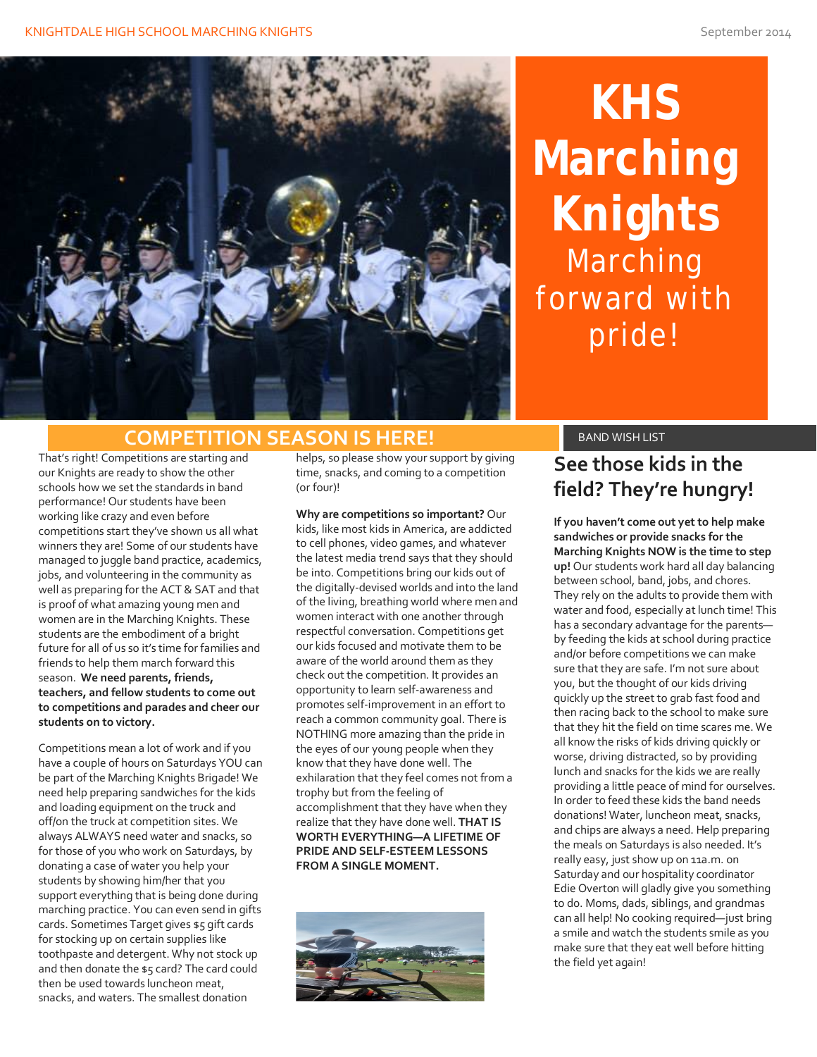

**KHS Marching Knights** Marching forward with pride!

#### **COMPETITION SEASON IS HERE!** BAND WISH LIST

That's right! Competitions are starting and our Knights are ready to show the other schools how we set the standards in band performance! Our students have been working like crazy and even before competitions start they've shown us all what winners they are! Some of our students have managed to juggle band practice, academics, jobs, and volunteering in the community as well as preparing for the ACT & SAT and that is proof of what amazing young men and women are in the Marching Knights. These students are the embodiment of a bright future for all of us so it's time for families and friends to help them march forward this season. **We need parents, friends, teachers, and fellow students to come out to competitions and parades and cheer our students on to victory.**

Competitions mean a lot of work and if you have a couple of hours on Saturdays YOU can be part of the Marching Knights Brigade! We need help preparing sandwiches for the kids and loading equipment on the truck and off/on the truck at competition sites. We always ALWAYS need water and snacks, so for those of you who work on Saturdays, by donating a case of water you help your students by showing him/her that you support everything that is being done during marching practice. You can even send in gifts cards. Sometimes Target gives \$5 gift cards for stocking up on certain supplies like toothpaste and detergent. Why not stock up and then donate the \$5 card? The card could then be used towards luncheon meat, snacks, and waters. The smallest donation

helps, so please show your support by giving time, snacks, and coming to a competition (or four)!

**Why are competitions so important?** Our kids, like most kids in America, are addicted to cell phones, video games, and whatever the latest media trend says that they should be into. Competitions bring our kids out of the digitally-devised worlds and into the land of the living, breathing world where men and women interact with one another through respectful conversation. Competitions get our kids focused and motivate them to be aware of the world around them as they check out the competition. It provides an opportunity to learn self-awareness and promotes self-improvement in an effort to reach a common community goal. There is NOTHING more amazing than the pride in the eyes of our young people when they know that they have done well. The exhilaration that they feel comes not from a trophy but from the feeling of accomplishment that they have when they realize that they have done well. **THAT IS WORTH EVERYTHING—A LIFETIME OF PRIDE AND SELF-ESTEEM LESSONS FROM A SINGLE MOMENT.** 



### **See those kids in the field? They're hungry!**

**If you haven't come out yet to help make sandwiches or provide snacks for the Marching Knights NOW is the time to step up!** Our students work hard all day balancing between school, band, jobs, and chores. They rely on the adults to provide them with water and food, especially at lunch time! This has a secondary advantage for the parents by feeding the kids at school during practice and/or before competitions we can make sure that they are safe. I'm not sure about you, but the thought of our kids driving quickly up the street to grab fast food and then racing back to the school to make sure that they hit the field on time scares me. We all know the risks of kids driving quickly or worse, driving distracted, so by providing lunch and snacks for the kids we are really providing a little peace of mind for ourselves. In order to feed these kids the band needs donations! Water, luncheon meat, snacks, and chips are always a need. Help preparing the meals on Saturdays is also needed. It's really easy, just show up on 11a.m. on Saturday and our hospitality coordinator Edie Overton will gladly give you something to do. Moms, dads, siblings, and grandmas can all help! No cooking required—just bring a smile and watch the students smile as you make sure that they eat well before hitting the field yet again!